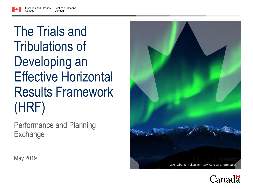## The Trials and Tribulations of Developing an Effective Horizontal Results Framework (HRF)

Performance and Planning **Exchange** 



May 2019

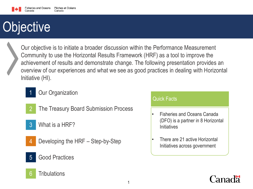## **Objective**



Our objective is to initiate a broader discussion within the Performance Measurement Community to use the Horizontal Results Framework (HRF) as a tool to improve the achievement of results and demonstrate change. The following presentation provides an overview of our experiences and what we see as good practices in dealing with Horizontal Initiative (HI).



- **Our Organization**
- 
- 2 The Treasury Board Submission Process
- 3 What is a HRF?
- - Developing the HRF Step-by-Step
- 5 Good Practices

#### 6 Tribulations

#### Quick Facts

- Fisheries and Oceans Canada (DFO) is a partner in 8 Horizontal **Initiatives**
- There are 21 active Horizontal Initiatives across government

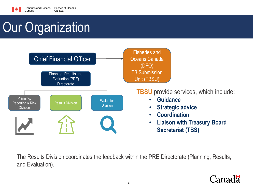

Canada

## Our Organization



The Results Division coordinates the feedback within the PRE Directorate (Planning, Results, and Evaluation).

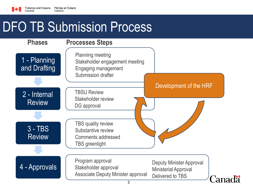

Canada

#### DFO TB Submission Process

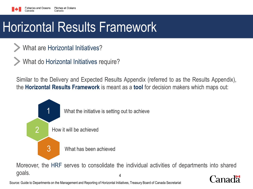### Horizontal Results Framework

- What are Horizontal Initiatives?
- What do Horizontal Initiatives require?

Similar to the Delivery and Expected Results Appendix (referred to as the Results Appendix), the **Horizontal Results Framework** is meant as a **tool** for decision makers which maps out:



Moreover, the HRF serves to consolidate the individual activities of departments into shared goals. 4 nadä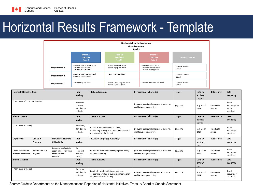

### Horizontal Results Framework - Template

|                     | <b>Horizontal Initiative Name</b><br><b>Shared Outcome</b><br>Total \$                         |                                                               |                                                                                           |                                    |  |  |  |
|---------------------|------------------------------------------------------------------------------------------------|---------------------------------------------------------------|-------------------------------------------------------------------------------------------|------------------------------------|--|--|--|
|                     | Theme A<br><b>Outcome</b><br><b>Total \$</b>                                                   | <b>Theme B</b><br><b>Outcome</b><br><b>Total S</b>            | <b>Theme C</b><br><b>Outcome</b><br><b>Total \$</b>                                       | <b>Internal Services</b>           |  |  |  |
| <b>Department A</b> | Activity A (new program) \$total<br>Activity B (top-up) \$total<br>Activity C (top-up) \$total | Activity G (top-up) \$total<br>Activity H (top-up) \$total    | Activity L (top-up) \$total<br>Activity M (top-up) \$total<br>Activity N (top-up) \$total | <b>Internal Services</b><br>Stotal |  |  |  |
| <b>Department B</b> | Activity D (new program) Stotal<br>Activity E (top-up) \$total                                 | Activity I (top-up) Stotal                                    |                                                                                           | <b>Internal Services</b><br>Stotal |  |  |  |
| <b>Department C</b> | Activity F (top-up) Stotal                                                                     | Activity J (new program) Stotal<br>Activity K (top-up) Stotal | Activity O (new program) Stotal                                                           | <b>Internal Services</b><br>Stotal |  |  |  |

| <b>Horizontal Initiative Name</b>           |                                | <b>Total</b><br>funding                                                                   | <b>HI shared outcome</b>                                                                                                      | Performance indicator(s)                                                   | <b>Target</b>                                                               | Date to<br>achieve<br>target | Data source                  | Data<br>frequency                                  |                                        |
|---------------------------------------------|--------------------------------|-------------------------------------------------------------------------------------------|-------------------------------------------------------------------------------------------------------------------------------|----------------------------------------------------------------------------|-----------------------------------------------------------------------------|------------------------------|------------------------------|----------------------------------------------------|----------------------------------------|
| (Insert name of horizontal initiative)      |                                | (For whole<br>initiative,<br>start date to<br>end date)                                   |                                                                                                                               | (relevant, meaningful measures of outcome,<br>qualitative or quantitative) | (e.g. 75%)                                                                  | (e.g. March<br>2019)         | (Insert data<br>source)      | (Insert)<br>frequency data<br>will be<br>reported) |                                        |
| Theme A Name:                               |                                | <b>Total</b><br>funding                                                                   | Theme outcome                                                                                                                 | Performance indicator(s)                                                   | <b>Target</b>                                                               | Date to<br>achieve<br>target | Data source                  | Data<br>frequency                                  |                                        |
| (Insert name of theme)                      |                                | (for theme,<br>start date to<br>end date)                                                 | (directly attributable theme outcome,<br>representing a roll up of output(s)/outcome(s) of<br>programs within the theme)      | (relevant, meaningful measures of outcome,<br>qualitative or quantitative) | (e.g. 75%)                                                                  | (e.g. March<br>2019)         | (Insert data<br>source)      | (Insert<br>frequency of<br>collection)             |                                        |
| Department                                  | Link to PI<br>Program          | <b>Horizontal initiative</b><br>(HI) activity                                             | <b>Total</b><br>funding                                                                                                       | HI Activity output(s)/outcome(s)                                           | Performance indicator(s)                                                    | <b>Target</b>                | Date to<br>achieve<br>target | Data source                                        | Data<br>frequency                      |
| (Insert abbreviation<br>of department name) | (Insert name of PI<br>Program) | (Insert name of activity<br>specifically contributing<br>to the horizontal<br>initiative] | (for<br>horizontal<br>initiative<br>activity)                                                                                 | (i.e. directly attributable to the proposed policy/<br>program/initiative) | (relevant, meaningful measures of outcomes,<br>qualitative or quantitative) | (e.g. 75%)                   | (e.g. March<br>2019)         | (Insert data<br>source)                            | (Insert<br>frequency of<br>collection) |
| <b>Theme B Name:</b>                        |                                | Total<br>funding                                                                          | Theme outcome                                                                                                                 | Performance indicator(s)                                                   | <b>Target</b>                                                               | Date to<br>achieve<br>target | Data source                  | Data<br>frequency                                  |                                        |
| (Insert name of theme)                      |                                | (for theme,<br>start date to<br>end date)                                                 | (i.e. directly attributable theme outcome,<br>representing a roll up of output(s)/outcome(s) of<br>programs within the theme) | (relevant, meaningful measures of outcome,<br>qualitative or quantitative) | (e.g. 75%)                                                                  | (e.g. March<br>2019)         | (Insert data<br>source)      | (Insert)<br>frequency of<br>collection)            |                                        |

Source: Guide to Departments on the Management and Reporting of Horizontal Initiatives, Treasury Board of Canada Secretariat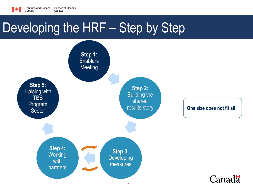

Canada

#### Developing the HRF – Step by Step

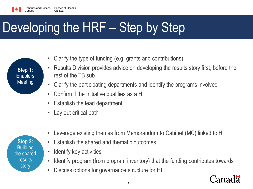

## Developing the HRF - Step by Step

| Step 1:         |  |
|-----------------|--|
| <b>Enablers</b> |  |
| Meeting         |  |
|                 |  |

- Clarify the type of funding (e.g. grants and contributions)
- Results Division provides advice on developing the results story first, before the rest of the TB sub
- Clarify the participating departments and identify the programs involved
- Confirm if the Initiative qualifies as a HI
- Establish the lead department
- Lay out critical path
- Leverage existing themes from Memorandum to Cabinet (MC) linked to HI
- Establish the shared and thematic outcomes
- Identify key activities
- Identify program (from program inventory) that the funding contributes towards
- Discuss options for governance structure for HI



**Step 2: Building** the shared results story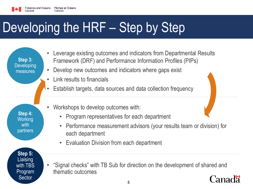

## Developing the HRF - Step by Step

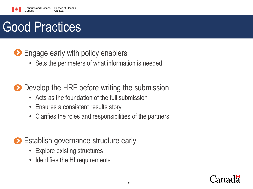

#### **Engage early with policy enablers**

• Sets the perimeters of what information is needed

#### Develop the HRF before writing the submission

- Acts as the foundation of the full submission
- Ensures a consistent results story
- Clarifies the roles and responsibilities of the partners

#### Establish governance structure early

- Explore existing structures
- Identifies the HI requirements

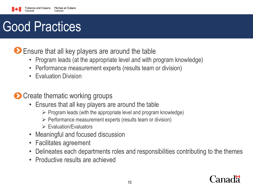

Ensure that all key players are around the table

- Program leads (at the appropriate level and with program knowledge)
- Performance measurement experts (results team or division)
- Evaluation Division

**Create thematic working groups** 

- Ensures that all key players are around the table
	- $\triangleright$  Program leads (with the appropriate level and program knowledge)
	- $\triangleright$  Performance measurement experts (results team or division)
	- $\triangleright$  Fvaluation/Fvaluators
- Meaningful and focused discussion
- Facilitates agreement
- Delineates each departments roles and responsibilities contributing to the themes
- Productive results are achieved

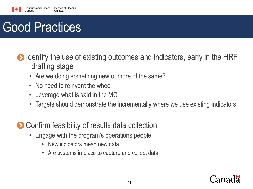

- Identify the use of existing outcomes and indicators, early in the HRF drafting stage
	- Are we doing something new or more of the same?
	- No need to reinvent the wheel
	- Leverage what is said in the MC
	- Targets should demonstrate the incrementally where we use existing indicators
- **O** Confirm feasibility of results data collection
	- Engage with the program's operations people
		- New indicators mean new data
		- Are systems in place to capture and collect data

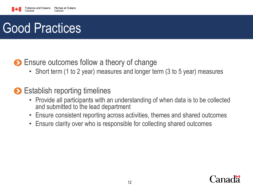

#### **Ensure outcomes follow a theory of change**

- Short term (1 to 2 year) measures and longer term (3 to 5 year) measures
- **► Establish reporting timelines** 
	- Provide all participants with an understanding of when data is to be collected and submitted to the lead department
	- Ensure consistent reporting across activities, themes and shared outcomes
	- Ensure clarity over who is responsible for collecting shared outcomes

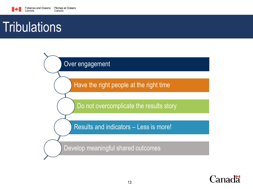

#### **Tribulations**